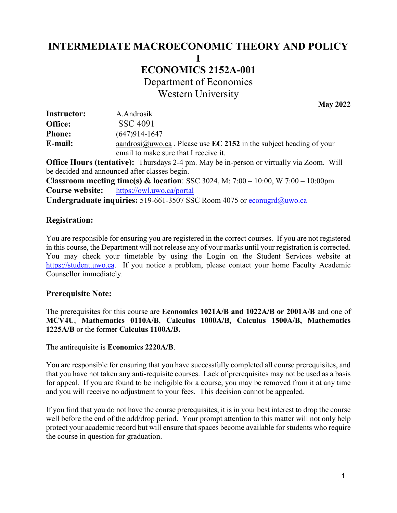# **INTERMEDIATE MACROECONOMIC THEORY AND POLICY I**

# **ECONOMICS 2152A-001**

**Department of Economics** 

Western University

 **May 2022** 

| <b>Instructor:</b> | A.Androsik                                                             |
|--------------------|------------------------------------------------------------------------|
| Office:            | SSC 4091                                                               |
| <b>Phone:</b>      | $(647)914-1647$                                                        |
| E-mail:            | aandrosi $@$ uwo.ca. Please use EC 2152 in the subject heading of your |
|                    | email to make sure that I receive it.                                  |

 **Office Hours (tentative):** Thursdays 2-4 pm. May be in-person or virtually via Zoom. Will be decided and announced after classes begin.

 **Classroom meeting time(s) & location**: SSC 3024, M: 7:00 – 10:00, W 7:00 – 10:00pm **Course website:** <https://owl.uwo.ca/portal>

Undergraduate inquiries: 519-661-3507 SSC Room 4075 or econugrd@uwo.ca

# **Registration:**

You are responsible for ensuring you are registered in the correct courses. If you are not registered in this course, the Department will not release any of your marks until your registration is corrected. You may check your timetable by using the Login on the Student Services website at [https://student.uwo.ca.](https://student.uwo.ca/) If you notice a problem, please contact your home Faculty Academic Counsellor immediately.

# **Prerequisite Note:**

 The prerequisites for this course are **Economics 1021A/B and 1022A/B or 2001A/B** and one of  **1225A/B** or the former **Calculus 1100A/B. MCV4U**, **Mathematics 0110A/B**, **Calculus 1000A/B, Calculus 1500A/B, Mathematics** 

The antirequisite is **Economics 2220A/B**.

You are responsible for ensuring that you have successfully completed all course prerequisites, and that you have not taken any anti-requisite courses. Lack of prerequisites may not be used as a basis for appeal. If you are found to be ineligible for a course, you may be removed from it at any time and you will receive no adjustment to your fees. This decision cannot be appealed.

If you find that you do not have the course prerequisites, it is in your best interest to drop the course well before the end of the add/drop period. Your prompt attention to this matter will not only help protect your academic record but will ensure that spaces become available for students who require the course in question for graduation.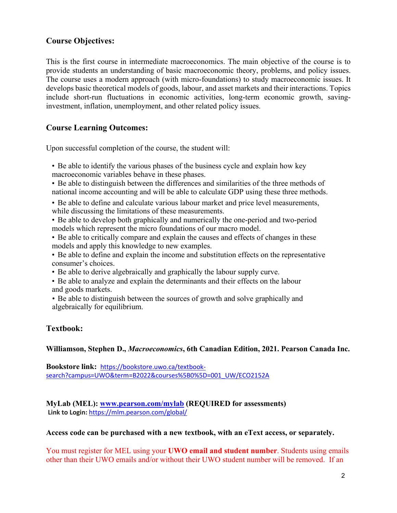# **Course Objectives:**

 This is the first course in intermediate macroeconomics. The main objective of the course is to provide students an understanding of basic macroeconomic theory, problems, and policy issues. The course uses a modern approach (with micro-foundations) to study macroeconomic issues. It develops basic theoretical models of goods, labour, and asset markets and their interactions. Topics include short-run fluctuations in economic activities, long-term economic growth, saving-investment, inflation, unemployment, and other related policy issues.

# **Course Learning Outcomes:**

Upon successful completion of the course, the student will:

- • Be able to identify the various phases of the business cycle and explain how key macroeconomic variables behave in these phases.
- • Be able to distinguish between the differences and similarities of the three methods of national income accounting and will be able to calculate GDP using these three methods.
- • Be able to define and calculate various labour market and price level measurements, while discussing the limitations of these measurements.
- • Be able to develop both graphically and numerically the one-period and two-period models which represent the micro foundations of our macro model.
- • Be able to critically compare and explain the causes and effects of changes in these models and apply this knowledge to new examples.
- consumer's choices. • Be able to define and explain the income and substitution effects on the representative
- Be able to derive algebraically and graphically the labour supply curve.
- • Be able to analyze and explain the determinants and their effects on the labour and goods markets.
- • Be able to distinguish between the sources of growth and solve graphically and algebraically for equilibrium.

# **Textbook:**

 **Williamson, Stephen D.,** *Macroeconomics***, 6th Canadian Edition, 2021. Pearson Canada Inc.** 

**Bookstore link:** [https://bookstore.uwo.ca/textbook](https://bookstore.uwo.ca/textbook-search?campus=UWO&term=B2022&courses%5B0%5D=001_UW/ECO2152A)[search?campus=UWO&term=B2022&courses%5B0%5D=001\\_UW/ECO2152A](https://bookstore.uwo.ca/textbook-search?campus=UWO&term=B2022&courses%5B0%5D=001_UW/ECO2152A) 

**MyLab (MEL): [www.pearson.com/mylab](http://www.pearson.com/mylab) (REQUIRED for assessments) Link to Login:** <https://mlm.pearson.com/global/>

#### **Access code can be purchased with a new textbook, with an eText access, or separately.**

 other than their UWO emails and/or without their UWO student number will be removed. If an You must register for MEL using your **UWO email and student number**. Students using emails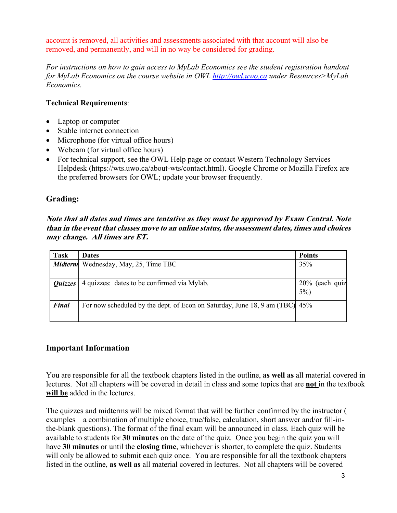removed, and permanently, and will in no way be considered for grading. account is removed, all activities and assessments associated with that account will also be

 *For instructions on how to gain access to MyLab Economics see the student registration handout for MyLab Economics on the course website in OWL [http://owl.uwo.ca](http://owl.uwo.ca/) under Resources>MyLab Economics.* 

# **Technical Requirements**:

- Laptop or computer
- Stable internet connection
- Microphone (for virtual office hours)
- Webcam (for virtual office hours)
- For technical support, see the OWL Help page or contact Western Technology Services Helpdesk [\(https://wts.uwo.ca/about-wts/contact.html\)](https://wts.uwo.ca/about-wts/contact.html). Google Chrome or Mozilla Firefox are the preferred browsers for OWL; update your browser frequently.

# **Grading:**

 **may change. All times are ET. Note that all dates and times are tentative as they must be approved by Exam Central. Note than in the event that classes move to an online status, the assessment dates, times and choices** 

| <b>Task</b>  | <b>Dates</b>                                                                | <b>Points</b>  |
|--------------|-----------------------------------------------------------------------------|----------------|
|              | <b>Midterm</b> Wednesday, May, 25, Time TBC                                 | 35%            |
|              |                                                                             |                |
| Quizzes      | 4 quizzes: dates to be confirmed via Mylab.                                 | 20% (each quiz |
|              |                                                                             | $5\%$ )        |
| <b>Final</b> | For now scheduled by the dept. of Econ on Saturday, June 18, 9 am (TBC) 45% |                |
|              |                                                                             |                |

# **Important Information**

 You are responsible for all the textbook chapters listed in the outline, **as well as** all material covered in lectures. Not all chapters will be covered in detail in class and some topics that are **not** in the textbook **will be** added in the lectures.

 The quizzes and midterms will be mixed format that will be further confirmed by the instructor ( have **30 minutes** or until the **closing time**, whichever is shorter, to complete the quiz. Students will only be allowed to submit each quiz once. You are responsible for all the textbook chapters  listed in the outline, **as well as** all material covered in lectures. Not all chapters will be covered examples – a combination of multiple choice, true/false, calculation, short answer and/or fill-inthe-blank questions). The format of the final exam will be announced in class. Each quiz will be available to students for **30 minutes** on the date of the quiz. Once you begin the quiz you will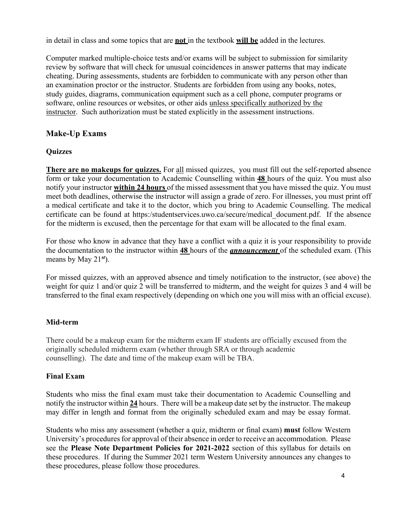in detail in class and some topics that are **not** in the textbook **will be** added in the lectures.

software, online resources or websites, or other aids unless specifically authorized by the instructor. Such authorization must be stated explicitly in the assessment instructions. Computer marked multiple-choice tests and/or exams will be subject to submission for similarity review by software that will check for unusual coincidences in answer patterns that may indicate cheating. During assessments, students are forbidden to communicate with any person other than an examination proctor or the instructor. Students are forbidden from using any books, notes, study guides, diagrams, communication equipment such as a cell phone, computer programs or

# **Make-Up Exams**

# **Quizzes**

**There are no makeups for quizzes.** For all missed quizzes, you must fill out the self-reported absence meet both deadlines, otherwise the instructor will assign a grade of zero. For illnesses, you must print off a medical certificate and take it to the doctor, which you bring to Academic Counselling. The medical for the midterm is excused, then the percentage for that exam will be allocated to the final exam. form or take your documentation to Academic Counselling within **48** hours of the quiz. You must also notify your instructor **within 24 hours** of the missed assessment that you have missed the quiz. You must certificate can be found at [https:/studentservices.uwo.ca/secure/medical\\_document.pdf](https:/studentservices.uwo.ca/secure/medical_document.pdf). If the absence

 For those who know in advance that they have a conflict with a quiz it is your responsibility to provide the documentation to the instructor within **48** hours of the *announcement* of the scheduled exam. (This means by May 21*st*).

 For missed quizzes, with an approved absence and timely notification to the instructor, (see above) the weight for quiz 1 and/or quiz 2 will be transferred to midterm, and the weight for quizes 3 and 4 will be transferred to the final exam respectively (depending on which one you will miss with an official excuse).

# **Mid-term**

 counselling). The date and time of the makeup exam will be TBA. There could be a makeup exam for the midterm exam IF students are officially excused from the originally scheduled midterm exam (whether through SRA or through academic

# **Final Exam**

 notify the instructor within **24** hours. There will be a makeup date set by the instructor. The makeup may differ in length and format from the originally scheduled exam and may be essay format. Students who miss the final exam must take their documentation to Academic Counselling and

 these procedures. If during the Summer 2021 term Western University announces any changes to Students who miss any assessment (whether a quiz, midterm or final exam) **must** follow Western University's procedures for approval of their absence in order to receive an accommodation. Please see the **Please Note Department Policies for 2021-2022** section of this syllabus for details on these procedures, please follow those procedures.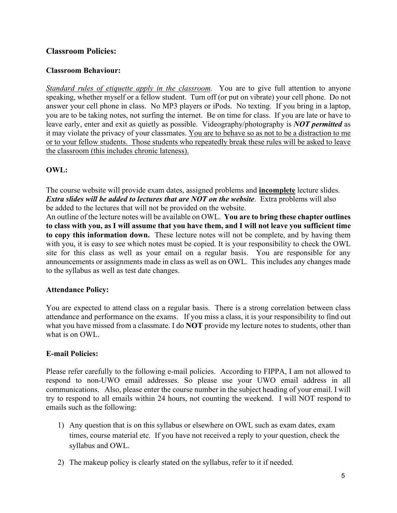# **Classroom Policies:**

## **Classroom Behaviour:**

*Standard rules of etiquette apply in the classroom*. You are to give full attention to anyone the classroom (this includes chronic lateness). speaking, whether myself or a fellow student. Turn off (or put on vibrate) your cell phone. Do not answer your cell phone in class. No MP3 players or iPods. No texting. If you bring in a laptop, you are to be taking notes, not surfing the internet. Be on time for class. If you are late or have to leave early, enter and exit as quietly as possible. Videography/photography is *NOT permitted* as it may violate the privacy of your classmates. You are to behave so as not to be a distraction to me or to your fellow students. Those students who repeatedly break these rules will be asked to leave

#### **OWL:**

 The course website will provide exam dates, assigned problems and **incomplete** lecture slides. *Extra slides will be added to lectures that are NOT on the website.* **Extra problems will also** be added to the lectures that will not be provided on the website.

 **to copy this information down.** These lecture notes will not be complete, and by having them site for this class as well as your email on a regular basis. You are responsible for any to the syllabus as well as test date changes. An outline of the lecture notes will be available on OWL. **You are to bring these chapter outlines to class with you, as I will assume that you have them, and I will not leave you sufficient time**  with you, it is easy to see which notes must be copied. It is your responsibility to check the OWL announcements or assignments made in class as well as on OWL. This includes any changes made

# **Attendance Policy:**

 what you have missed from a classmate. I do **NOT** provide my lecture notes to students, other than You are expected to attend class on a regular basis. There is a strong correlation between class attendance and performance on the exams. If you miss a class, it is your responsibility to find out what is on OWL.

# **E-mail Policies:**

 respond to non-UWO email addresses. So please use your UWO email address in all try to respond to all emails within 24 hours, not counting the weekend. I will NOT respond to Please refer carefully to the following e-mail policies. According to FIPPA, I am not allowed to communications. Also, please enter the course number in the subject heading of your email. I will emails such as the following:

- 1) Any question that is on this syllabus or elsewhere on OWL such as exam dates, exam times, course material etc. If you have not received a reply to your question, check the syllabus and OWL.
- 2) The makeup policy is clearly stated on the syllabus, refer to it if needed.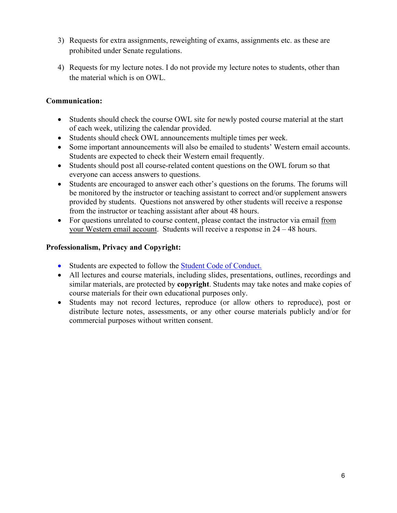- prohibited under Senate regulations. 3) Requests for extra assignments, reweighting of exams, assignments etc. as these are
- the material which is on OWL. 4) Requests for my lecture notes. I do not provide my lecture notes to students, other than

# **Communication:**

- Students should check the course OWL site for newly posted course material at the start of each week, utilizing the calendar provided.
- Students should check OWL announcements multiple times per week.
- • Some important announcements will also be emailed to students' Western email accounts. Students are expected to check their Western email frequently.
- Students should post all course-related content questions on the OWL forum so that everyone can access answers to questions.
- • Students are encouraged to answer each other's questions on the forums. The forums will be monitored by the instructor or teaching assistant to correct and/or supplement answers provided by students. Questions not answered by other students will receive a response from the instructor or teaching assistant after about 48 hours.
- For questions unrelated to course content, please contact the instructor via email from your Western email account. Students will receive a response in 24 – 48 hours.

# **Professionalism, Privacy and Copyright:**

- Students are expected to follow the **Student Code of Conduct.**
- All lectures and course materials, including slides, presentations, outlines, recordings and similar materials, are protected by **copyright**. Students may take notes and make copies of course materials for their own educational purposes only.
- Students may not record lectures, reproduce (or allow others to reproduce), post or distribute lecture notes, assessments, or any other course materials publicly and/or for commercial purposes without written consent.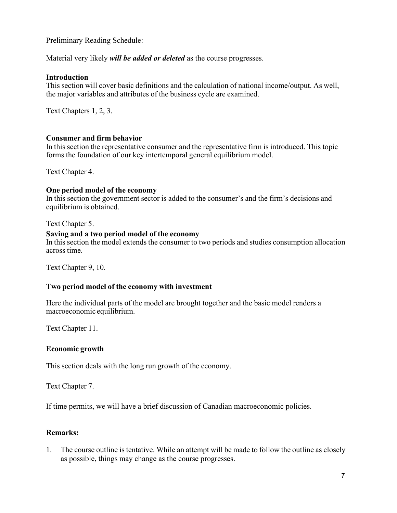Preliminary Reading Schedule:

Material very likely *will be added or deleted* as the course progresses.

#### **Introduction**

 This section will cover basic definitions and the calculation of national income/output. As well, the major variables and attributes of the business cycle are examined.

Text Chapters 1, 2, 3.

## **Consumer and firm behavior**

 In this section the representative consumer and the representative firm is introduced. This topic forms the foundation of our key intertemporal general equilibrium model.

Text Chapter 4.

#### **One period model of the economy**

 In this section the government sector is added to the consumer's and the firm's decisions and equilibrium is obtained.

Text Chapter 5.

#### **Saving and a two period model of the economy**

 In this section the model extends the consumer to two periods and studies consumption allocation across time.

Text Chapter 9, 10.

# **Two period model of the economy with investment**

 Here the individual parts of the model are brought together and the basic model renders a macroeconomic equilibrium.

Text Chapter 11.

# **Economic growth**

This section deals with the long run growth of the economy.

Text Chapter 7.

If time permits, we will have a brief discussion of Canadian macroeconomic policies.

# **Remarks:**

 1. The course outline is tentative. While an attempt will be made to follow the outline as closely as possible, things may change as the course progresses.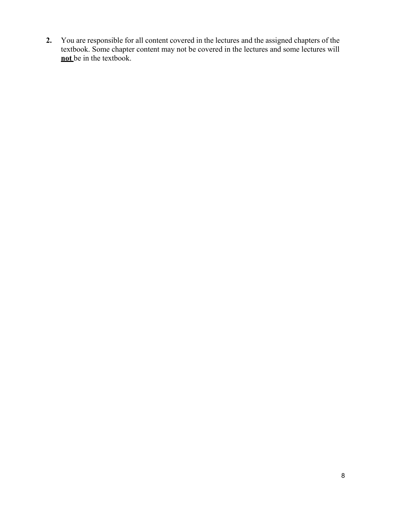**2.** You are responsible for all content covered in the lectures and the assigned chapters of the textbook. Some chapter content may not be covered in the lectures and some lectures will **<u>not</u>** be in the textbook.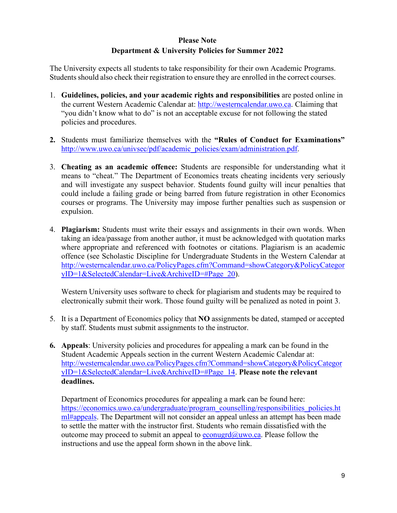# **Please Note Department & University Policies for Summer 2022**

 Students should also check their registration to ensure they are enrolled in the correct courses. The University expects all students to take responsibility for their own Academic Programs.

- policies and procedures. 1. **Guidelines, policies, and your academic rights and responsibilities** are posted online in the current Western Academic Calendar at: [http://westerncalendar.uwo.ca.](http://westerncalendar.uwo.ca/) Claiming that "you didn't know what to do" is not an acceptable excuse for not following the stated
- **2.** Students must familiarize themselves with the **"Rules of Conduct for Examinations"**  [http://www.uwo.ca/univsec/pdf/academic\\_policies/exam/administration.pdf.](http://www.uwo.ca/univsec/pdf/academic_policies/exam/administration.pdf)
- 3. **Cheating as an academic offence:** Students are responsible for understanding what it means to "cheat." The Department of Economics treats cheating incidents very seriously and will investigate any suspect behavior. Students found guilty will incur penalties that could include a failing grade or being barred from future registration in other Economics courses or programs. The University may impose further penalties such as suspension or expulsion.
- 4. **Plagiarism:** Students must write their essays and assignments in their own words. When taking an idea/passage from another author, it must be acknowledged with quotation marks where appropriate and referenced with footnotes or citations. Plagiarism is an academic offence (see Scholastic Discipline for Undergraduate Students in the Western Calendar at [http://westerncalendar.uwo.ca/PolicyPages.cfm?Command=showCategory&PolicyCategor](http://westerncalendar.uwo.ca/PolicyPages.cfm?Command=showCategory&PolicyCategoryID=1&SelectedCalendar=Live&ArchiveID&Page_20)  [yID=1&SelectedCalendar=Live&ArchiveID=#Page\\_20\)](http://westerncalendar.uwo.ca/PolicyPages.cfm?Command=showCategory&PolicyCategoryID=1&SelectedCalendar=Live&ArchiveID&Page_20).

Western University uses software to check for plagiarism and students may be required to electronically submit their work. Those found guilty will be penalized as noted in point 3.

- 5. It is a Department of Economics policy that **NO** assignments be dated, stamped or accepted by staff. Students must submit assignments to the instructor.
- **6. Appeals**: University policies and procedures for appealing a mark can be found in the Student Academic Appeals section in the current Western Academic Calendar at: [http://westerncalendar.uwo.ca/PolicyPages.cfm?Command=showCategory&PolicyCategor](http://westerncalendar.uwo.ca/PolicyPages.cfm?Command=showCategory&PolicyCategoryID=1&SelectedCalendar=Live&ArchiveID&Page_14)  [yID=1&SelectedCalendar=Live&ArchiveID=#Page\\_14.](http://westerncalendar.uwo.ca/PolicyPages.cfm?Command=showCategory&PolicyCategoryID=1&SelectedCalendar=Live&ArchiveID&Page_14) **Please note the relevant deadlines.**

 instructions and use the appeal form shown in the above link. Department of Economics procedures for appealing a mark can be found here: https://economics.uwo.ca/undergraduate/program\_counselling/responsibilities\_policies.ht [ml#appeals. T](https://economics.uwo.ca/undergraduate/program_counselling/responsibilities_policies.html#appeals)he Department will not consider an appeal unless an attempt has been made to settle the matter with the instructor first. Students who remain dissatisfied with the outcome may proceed to submit an appeal to  $e_{\text{conugrd}}(\hat{a}_{\text{ouvo.ca}})$ . Please follow the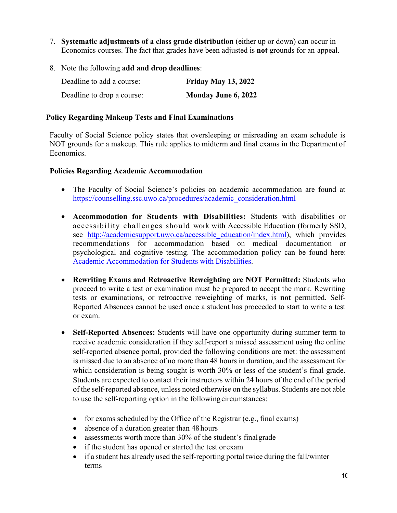- Economics courses. The fact that grades have been adjusted is **not** grounds for an appeal. 7. **Systematic adjustments of a class grade distribution** (either up or down) can occur in
- 8. Note the following **add and drop deadlines**:

| Deadline to add a course:  | <b>Friday May 13, 2022</b> |
|----------------------------|----------------------------|
| Deadline to drop a course: | Monday June 6, 2022        |

#### **Policy Regarding Makeup Tests and Final Examinations**

Faculty of Social Science policy states that oversleeping or misreading an exam schedule is NOT grounds for a makeup. This rule applies to midterm and final exams in the Department of Economics.

#### **Policies Regarding Academic Accommodation**

- The Faculty of Social Science's policies on academic accommodation are found at [https://counselling.ssc.uwo.ca/procedures/academic\\_consideration.html](https://counselling.ssc.uwo.ca/procedures/academic_consideration.html)
- **Accommodation for Students with Disabilities:** Students with disabilities or accessibility challenges should work with Accessible Education (formerly SSD, see http://academicsupport.uwo.ca/accessible education/index.html), which provides recommendations for accommodation based on medical documentation or psychological and cognitive testing. The accommodation policy can be found here[:](https://www.uwo.ca/univsec/pdf/academic_policies/appeals/Academic%20Accommodation_disabilities.pdf)  [Academic Accommodation for Students with Disabilities.](https://www.uwo.ca/univsec/pdf/academic_policies/appeals/Academic%20Accommodation_disabilities.pdf)
- or exam. • **Rewriting Exams and Retroactive Reweighting are NOT Permitted:** Students who proceed to write a test or examination must be prepared to accept the mark. Rewriting tests or examinations, or retroactive reweighting of marks, is **not** permitted. Self-Reported Absences cannot be used once a student has proceeded to start to write a test
- is missed due to an absence of no more than 48 hours in duration, and the assessment for Students are expected to contact their instructors within 24 hours of the end of the period of the self-reported absence, unless noted otherwise on the syllabus. Students are not able • **Self-Reported Absences:** Students will have one opportunity during summer term to receive academic consideration if they self-report a missed assessment using the online self-reported absence portal, provided the following conditions are met: the assessment which consideration is being sought is worth 30% or less of the student's final grade. to use the self-reporting option in the following circumstances:
	- for exams scheduled by the Office of the Registrar (e.g., final exams)
	- absence of a duration greater than 48 hours
	- assessments worth more than 30% of the student's final grade
	- if the student has opened or started the test orexam
	- • if a student has already used the self-reporting portal twice during the fall/winter terms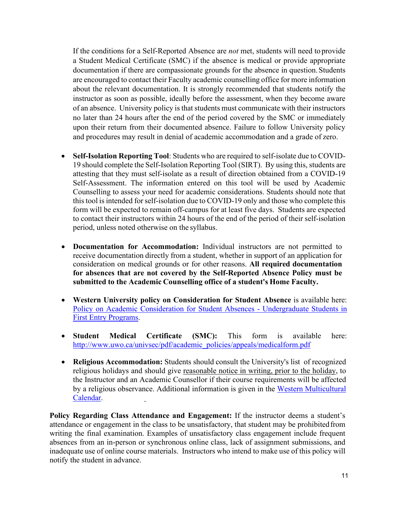If the conditions for a Self-Reported Absence are *not* met, students will need to provide documentation if there are compassionate grounds for the absence in question. Students are encouraged to contact their Faculty academic counselling office for more information instructor as soon as possible, ideally before the assessment, when they become aware of an absence. University policy is that students must communicate with their instructors and procedures may result in denial of academic accommodation and a grade of zero. a Student Medical Certificate (SMC) if the absence is medical or provide appropriate about the relevant documentation. It is strongly recommended that students notify the no later than 24 hours after the end of the period covered by the SMC or immediately upon their return from their documented absence. Failure to follow University policy

- **Self-Isolation Reporting Tool**: Students who are required to self-isolate due to COVID- 19 should complete the Self-Isolation Reporting Tool (SIRT). By using this, students are this tool is intended for self-isolation due to COVID-19 only and those who complete this form will be expected to remain off-campus for at least five days. Students are expected to contact their instructors within 24 hours of the end of the period of their self-isolation period, unless noted otherwise on the syllabus. attesting that they must self-isolate as a result of direction obtained from a COVID-19 Self-Assessment. The information entered on this tool will be used by Academic Counselling to assess your need for academic considerations. Students should note that
- receive documentation directly from a student, whether in support of an application for  **submitted to the Academic Counselling office of a student's Home Faculty.**  • **Documentation for Accommodation:** Individual instructors are not permitted to consideration on medical grounds or for other reasons. **All required documentation for absences that are not covered by the Self-Reported Absence Policy must be**
- [Policy on Academic Consideration for Student Absences -](https://www.uwo.ca/univsec/pdf/academic_policies/appeals/accommodation_illness.pdf) Undergraduate Students i[n](https://www.uwo.ca/univsec/pdf/academic_policies/appeals/accommodation_illness.pdf)  • **Western University policy on Consideration for Student Absence** is available here[:](https://www.uwo.ca/univsec/pdf/academic_policies/appeals/accommodation_illness.pdf)  [First Entry Programs.](https://www.uwo.ca/univsec/pdf/academic_policies/appeals/accommodation_illness.pdf)
- **Student Medical Certificate (SMC):** This form is available here[:](http://www.uwo.ca/univsec/pdf/academic_policies/appeals/medicalform.pdf)  [http://www.uwo.ca/univsec/pdf/academic\\_policies/appeals/medicalform.pdf](http://www.uwo.ca/univsec/pdf/academic_policies/appeals/medicalform.pdf)
- the Instructor and an Academic Counsellor if their course requirements will be affected by a religious observance. Additional information is given in the Western Multicultural • **Religious Accommodation:** Students should consult the University's list of recognized religious holidays and should give reasonable notice in writing, prior to the holiday, to [Calendar.](https://multiculturalcalendar.com/ecal/index.php?s=c-univwo)

 inadequate use of online course materials. Instructors who intend to make use of this policy will notify the student in advance. **Policy Regarding Class Attendance and Engagement:** If the instructor deems a student's attendance or engagement in the class to be unsatisfactory, that student may be prohibitedfrom writing the final examination. Examples of unsatisfactory class engagement include frequent absences from an in-person or synchronous online class, lack of assignment submissions, and